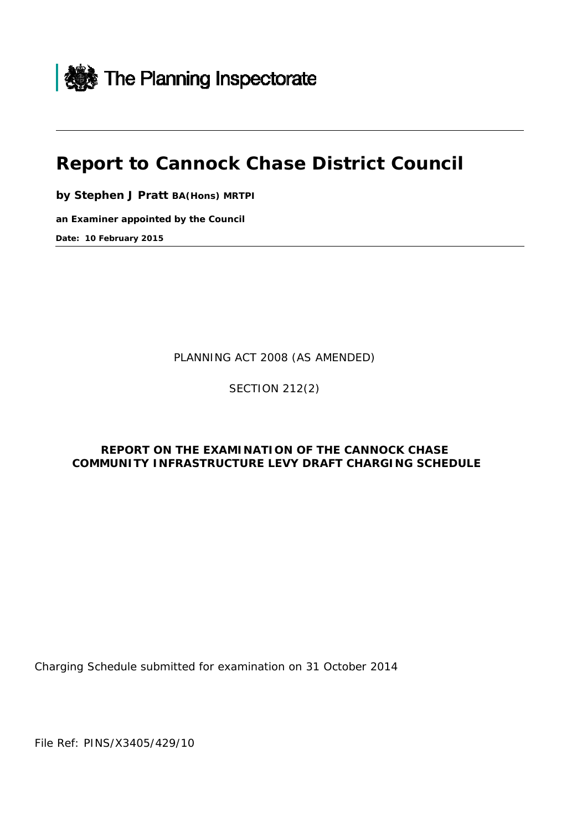

# **Report to Cannock Chase District Council**

**by Stephen J Pratt BA(Hons) MRTPI** 

**an Examiner appointed by the Council** 

**Date: 10 February 2015** 

PLANNING ACT 2008 (AS AMENDED)

SECTION 212(2)

# **REPORT ON THE EXAMINATION OF THE CANNOCK CHASE COMMUNITY INFRASTRUCTURE LEVY DRAFT CHARGING SCHEDULE**

Charging Schedule submitted for examination on 31 October 2014

File Ref: PINS/X3405/429/10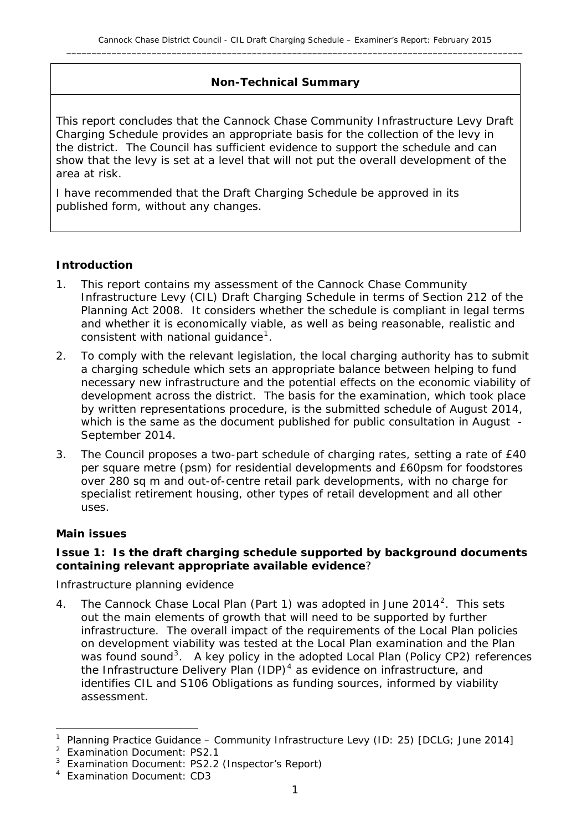# **Non-Technical Summary**

This report concludes that the Cannock Chase Community Infrastructure Levy Draft Charging Schedule provides an appropriate basis for the collection of the levy in the district. The Council has sufficient evidence to support the schedule and can show that the levy is set at a level that will not put the overall development of the area at risk.

I have recommended that the Draft Charging Schedule be approved in its published form, without any changes.

# **Introduction**

- 1. This report contains my assessment of the Cannock Chase Community Infrastructure Levy (CIL) Draft Charging Schedule in terms of Section 212 of the Planning Act 2008. It considers whether the schedule is compliant in legal terms and whether it is economically viable, as well as being reasonable, realistic and consistent with national guidance<sup>[1](#page-1-0)</sup>.
- 2. To comply with the relevant legislation, the local charging authority has to submit a charging schedule which sets an appropriate balance between helping to fund necessary new infrastructure and the potential effects on the economic viability of development across the district. The basis for the examination, which took place by written representations procedure, is the submitted schedule of August 2014, which is the same as the document published for public consultation in August -September 2014.
- 3. The Council proposes a two-part schedule of charging rates, setting a rate of £40 per square metre (psm) for residential developments and £60psm for foodstores over 280 sq m and out-of-centre retail park developments, with no charge for specialist retirement housing, other types of retail development and all other uses.

# **Main issues**

j

#### **Issue 1: Is the draft charging schedule supported by background documents containing relevant appropriate available evidence***?*

#### *Infrastructure planning evidence*

4. The Cannock Chase Local Plan (Part 1) was adopted in June [2](#page-1-1)014<sup>2</sup>. This sets out the main elements of growth that will need to be supported by further infrastructure. The overall impact of the requirements of the Local Plan policies on development viability was tested at the Local Plan examination and the Plan was found sound<sup>[3](#page-1-2)</sup>. A key policy in the adopted Local Plan (Policy CP2) references the Infrastructure Delivery Plan  $(IDP)^4$  $(IDP)^4$  as evidence on infrastructure, and identifies CIL and S106 Obligations as funding sources, informed by viability assessment.

<span id="page-1-0"></span><sup>&</sup>lt;sup>1</sup> Planning Practice Guidance – Community Infrastructure Levy (ID: 25) [DCLG; June 2014]

<span id="page-1-1"></span><sup>&</sup>lt;sup>2</sup> Examination Document: PS2.1

<span id="page-1-2"></span><sup>&</sup>lt;sup>3</sup> Examination Document: PS2.2 (Inspector's Report)

<span id="page-1-3"></span><sup>4</sup> Examination Document: CD3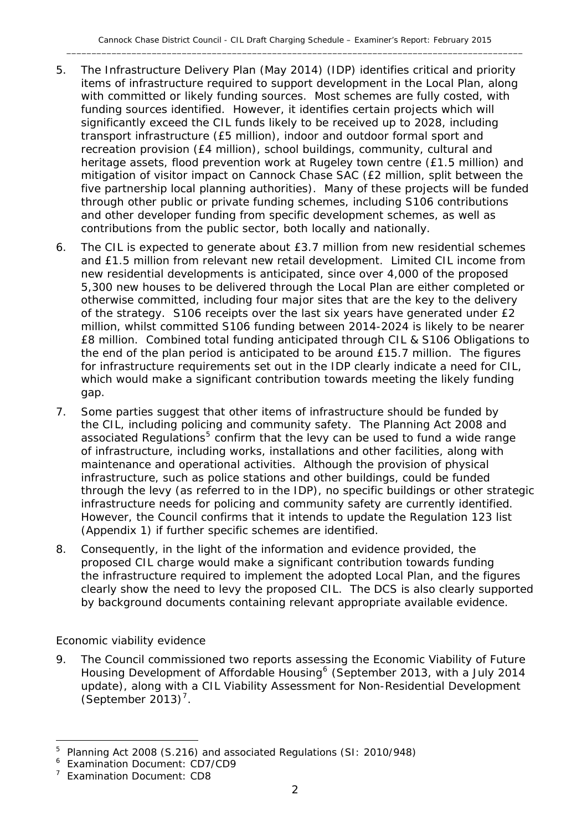- 5. The Infrastructure Delivery Plan (May 2014) (IDP) identifies critical and priority items of infrastructure required to support development in the Local Plan, along with committed or likely funding sources. Most schemes are fully costed, with funding sources identified. However, it identifies certain projects which will significantly exceed the CIL funds likely to be received up to 2028, including transport infrastructure (£5 million), indoor and outdoor formal sport and recreation provision (£4 million), school buildings, community, cultural and heritage assets, flood prevention work at Rugeley town centre (£1.5 million) and mitigation of visitor impact on Cannock Chase SAC (£2 million, split between the five partnership local planning authorities). Many of these projects will be funded through other public or private funding schemes, including S106 contributions and other developer funding from specific development schemes, as well as contributions from the public sector, both locally and nationally.
- 6. The CIL is expected to generate about £3.7 million from new residential schemes and £1.5 million from relevant new retail development. Limited CIL income from new residential developments is anticipated, since over 4,000 of the proposed 5,300 new houses to be delivered through the Local Plan are either completed or otherwise committed, including four major sites that are the key to the delivery of the strategy. S106 receipts over the last six years have generated under £2 million, whilst committed S106 funding between 2014-2024 is likely to be nearer £8 million. Combined total funding anticipated through CIL & S106 Obligations to the end of the plan period is anticipated to be around £15.7 million. The figures for infrastructure requirements set out in the IDP clearly indicate a need for CIL, which would make a significant contribution towards meeting the likely funding gap.
- 7. Some parties suggest that other items of infrastructure should be funded by the CIL, including policing and community safety. The Planning Act 2008 and associated Regulations<sup>[5](#page-2-0)</sup> confirm that the levy can be used to fund a wide range of infrastructure, including works, installations and other facilities, along with maintenance and operational activities. Although the provision of physical infrastructure, such as police stations and other buildings, could be funded through the levy (as referred to in the IDP), no specific buildings or other strategic infrastructure needs for policing and community safety are currently identified. However, the Council confirms that it intends to update the Regulation 123 list (Appendix 1) if further specific schemes are identified.
- 8. Consequently, in the light of the information and evidence provided, the proposed CIL charge would make a significant contribution towards funding the infrastructure required to implement the adopted Local Plan, and the figures clearly show the need to levy the proposed CIL. The DCS is also clearly supported by background documents containing relevant appropriate available evidence.

# *Economic viability evidence*

9. The Council commissioned two reports assessing the Economic Viability of Future Housing Development of Affordable Housing<sup>[6](#page-2-1)</sup> (September 2013, with a July 2014 update), along with a CIL Viability Assessment for Non-Residential Development  $(September 2013)<sup>7</sup>$  $(September 2013)<sup>7</sup>$  $(September 2013)<sup>7</sup>$ .

<span id="page-2-0"></span>j 5 Planning Act 2008 (S.216) and associated Regulations (SI: 2010/948)

<span id="page-2-1"></span><sup>6</sup> Examination Document: CD7/CD9

<span id="page-2-2"></span><sup>&</sup>lt;sup>7</sup> Examination Document: CD8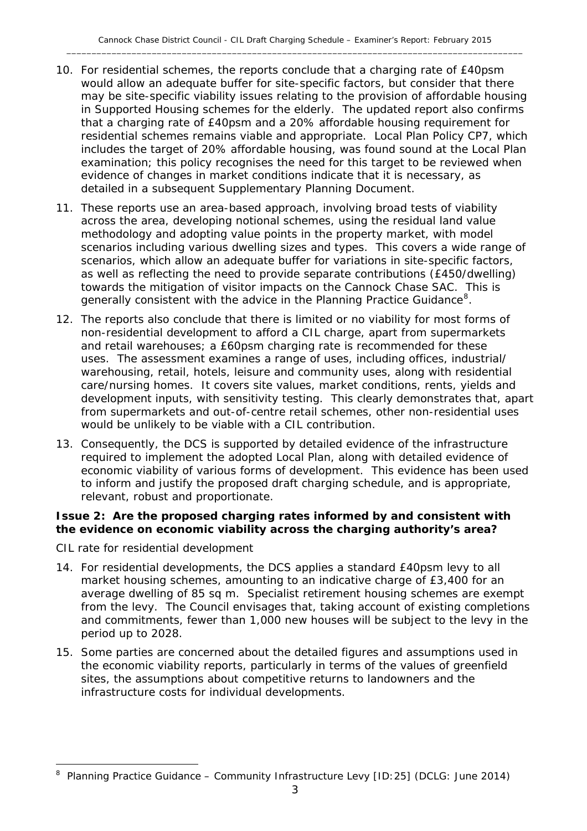- 10. For residential schemes, the reports conclude that a charging rate of £40psm would allow an adequate buffer for site-specific factors, but consider that there may be site-specific viability issues relating to the provision of affordable housing in Supported Housing schemes for the elderly. The updated report also confirms that a charging rate of £40psm and a 20% affordable housing requirement for residential schemes remains viable and appropriate. Local Plan Policy CP7, which includes the target of 20% affordable housing, was found sound at the Local Plan examination; this policy recognises the need for this target to be reviewed when evidence of changes in market conditions indicate that it is necessary, as detailed in a subsequent Supplementary Planning Document.
- 11. These reports use an area-based approach, involving broad tests of viability across the area, developing notional schemes, using the residual land value methodology and adopting value points in the property market, with model scenarios including various dwelling sizes and types. This covers a wide range of scenarios, which allow an adequate buffer for variations in site-specific factors, as well as reflecting the need to provide separate contributions (£450/dwelling) towards the mitigation of visitor impacts on the Cannock Chase SAC. This is generally consistent with the advice in the Planning Practice Guidance<sup>[8](#page-3-0)</sup>.
- 12. The reports also conclude that there is limited or no viability for most forms of non-residential development to afford a CIL charge, apart from supermarkets and retail warehouses; a £60psm charging rate is recommended for these uses. The assessment examines a range of uses, including offices, industrial/ warehousing, retail, hotels, leisure and community uses, along with residential care/nursing homes. It covers site values, market conditions, rents, yields and development inputs, with sensitivity testing. This clearly demonstrates that, apart from supermarkets and out-of-centre retail schemes, other non-residential uses would be unlikely to be viable with a CIL contribution.
- 13. Consequently, the DCS is supported by detailed evidence of the infrastructure required to implement the adopted Local Plan, along with detailed evidence of economic viability of various forms of development. This evidence has been used to inform and justify the proposed draft charging schedule, and is appropriate, relevant, robust and proportionate.

#### **Issue 2: Are the proposed charging rates informed by and consistent with the evidence on economic viability across the charging authority's area?**

#### *CIL rate for residential development*

j

- 14. For residential developments, the DCS applies a standard £40psm levy to all market housing schemes, amounting to an indicative charge of £3,400 for an average dwelling of 85 sq m. Specialist retirement housing schemes are exempt from the levy. The Council envisages that, taking account of existing completions and commitments, fewer than 1,000 new houses will be subject to the levy in the period up to 2028.
- 15. Some parties are concerned about the detailed figures and assumptions used in the economic viability reports, particularly in terms of the values of greenfield sites, the assumptions about competitive returns to landowners and the infrastructure costs for individual developments.

<span id="page-3-0"></span><sup>&</sup>lt;sup>8</sup> Planning Practice Guidance – Community Infrastructure Levy [ID:25] (DCLG: June 2014)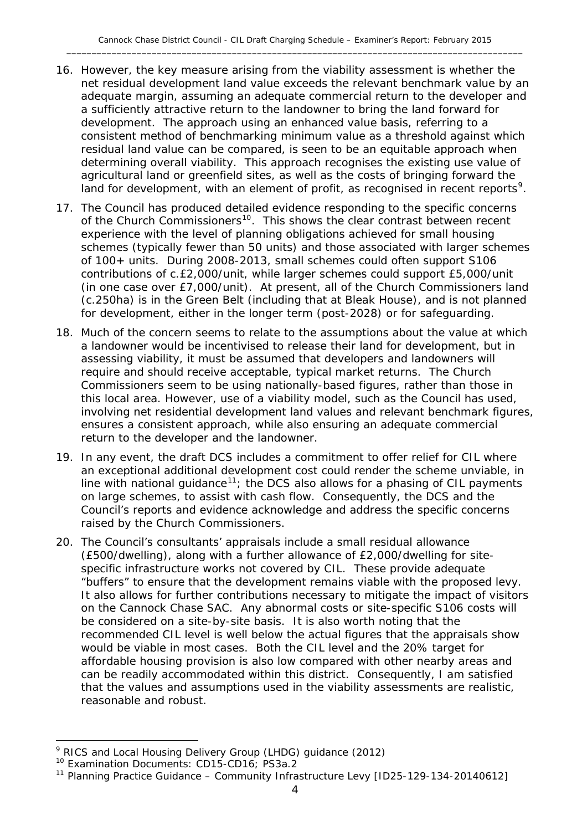- 16. However, the key measure arising from the viability assessment is whether the net residual development land value exceeds the relevant benchmark value by an adequate margin, assuming an adequate commercial return to the developer and a sufficiently attractive return to the landowner to bring the land forward for development. The approach using an enhanced value basis, referring to a consistent method of benchmarking minimum value as a threshold against which residual land value can be compared, is seen to be an equitable approach when determining overall viability. This approach recognises the existing use value of agricultural land or greenfield sites, as well as the costs of bringing forward the land for development, with an element of profit, as recognised in recent reports<sup>[9](#page-4-0)</sup>.
- 17. The Council has produced detailed evidence responding to the specific concerns of the Church Commissioners<sup>[10](#page-4-1)</sup>. This shows the clear contrast between recent experience with the level of planning obligations achieved for small housing schemes (typically fewer than 50 units) and those associated with larger schemes of 100+ units. During 2008-2013, small schemes could often support S106 contributions of c.£2,000/unit, while larger schemes could support £5,000/unit (in one case over £7,000/unit). At present, all of the Church Commissioners land (c.250ha) is in the Green Belt (including that at Bleak House), and is not planned for development, either in the longer term (post-2028) or for safeguarding.
- 18. Much of the concern seems to relate to the assumptions about the value at which a landowner would be incentivised to release their land for development, but in assessing viability, it must be assumed that developers and landowners will require and should receive acceptable, typical market returns. The Church Commissioners seem to be using nationally-based figures, rather than those in this local area. However, use of a viability model, such as the Council has used, involving net residential development land values and relevant benchmark figures, ensures a consistent approach, while also ensuring an adequate commercial return to the developer and the landowner.
- 19. In any event, the draft DCS includes a commitment to offer relief for CIL where an exceptional additional development cost could render the scheme unviable, in line with national guidance<sup>[11](#page-4-2)</sup>; the DCS also allows for a phasing of CIL payments on large schemes, to assist with cash flow. Consequently, the DCS and the Council's reports and evidence acknowledge and address the specific concerns raised by the Church Commissioners.
- 20. The Council's consultants' appraisals include a small residual allowance (£500/dwelling), along with a further allowance of £2,000/dwelling for sitespecific infrastructure works not covered by CIL. These provide adequate "buffers" to ensure that the development remains viable with the proposed levy. It also allows for further contributions necessary to mitigate the impact of visitors on the Cannock Chase SAC. Any abnormal costs or site-specific S106 costs will be considered on a site-by-site basis. It is also worth noting that the recommended CIL level is well below the actual figures that the appraisals show would be viable in most cases. Both the CIL level and the 20% target for affordable housing provision is also low compared with other nearby areas and can be readily accommodated within this district. Consequently, I am satisfied that the values and assumptions used in the viability assessments are realistic, reasonable and robust.

j

<span id="page-4-0"></span><sup>9</sup> RICS and Local Housing Delivery Group (LHDG) guidance (2012)

<span id="page-4-1"></span><sup>10</sup> Examination Documents: CD15-CD16; PS3a.2

<span id="page-4-2"></span> $11$  Planning Practice Guidance – Community Infrastructure Levy [ID25-129-134-20140612]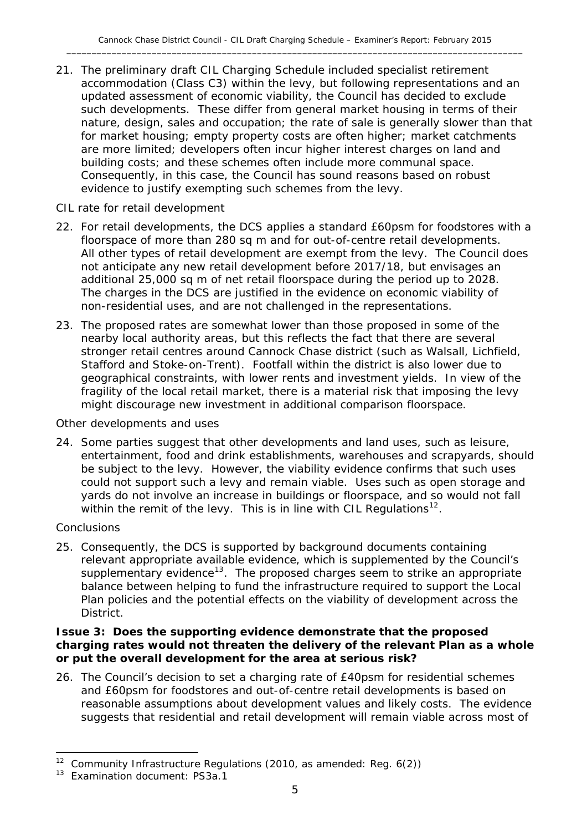21. The preliminary draft CIL Charging Schedule included specialist retirement accommodation (Class C3) within the levy, but following representations and an updated assessment of economic viability, the Council has decided to exclude such developments. These differ from general market housing in terms of their nature, design, sales and occupation; the rate of sale is generally slower than that for market housing; empty property costs are often higher; market catchments are more limited; developers often incur higher interest charges on land and building costs; and these schemes often include more communal space. Consequently, in this case, the Council has sound reasons based on robust evidence to justify exempting such schemes from the levy.

#### *CIL rate for retail development*

- 22. For retail developments, the DCS applies a standard £60psm for foodstores with a floorspace of more than 280 sq m and for out-of-centre retail developments. All other types of retail development are exempt from the levy. The Council does not anticipate any new retail development before 2017/18, but envisages an additional 25,000 sq m of net retail floorspace during the period up to 2028. The charges in the DCS are justified in the evidence on economic viability of non-residential uses, and are not challenged in the representations.
- 23. The proposed rates are somewhat lower than those proposed in some of the nearby local authority areas, but this reflects the fact that there are several stronger retail centres around Cannock Chase district (such as Walsall, Lichfield, Stafford and Stoke-on-Trent). Footfall within the district is also lower due to geographical constraints, with lower rents and investment yields. In view of the fragility of the local retail market, there is a material risk that imposing the levy might discourage new investment in additional comparison floorspace.

#### *Other developments and uses*

24. Some parties suggest that other developments and land uses, such as leisure, entertainment, food and drink establishments, warehouses and scrapyards, should be subject to the levy. However, the viability evidence confirms that such uses could not support such a levy and remain viable. Uses such as open storage and yards do not involve an increase in buildings or floorspace, and so would not fall within the remit of the levy. This is in line with CIL Regulations<sup>[12](#page-5-0)</sup>.

# *Conclusions*

 $\overline{a}$ 

25. Consequently, the DCS is supported by background documents containing relevant appropriate available evidence, which is supplemented by the Council's supplementary evidence<sup>[13](#page-5-1)</sup>. The proposed charges seem to strike an appropriate balance between helping to fund the infrastructure required to support the Local Plan policies and the potential effects on the viability of development across the **District** 

#### **Issue 3: Does the supporting evidence demonstrate that the proposed charging rates would not threaten the delivery of the relevant Plan as a whole or put the overall development for the area at serious risk?**

26. The Council's decision to set a charging rate of £40psm for residential schemes and £60psm for foodstores and out-of-centre retail developments is based on reasonable assumptions about development values and likely costs. The evidence suggests that residential and retail development will remain viable across most of

<span id="page-5-0"></span> $12$  Community Infrastructure Regulations (2010, as amended: Reg.  $6(2)$ )

<span id="page-5-1"></span><sup>&</sup>lt;sup>13</sup> Examination document: PS3a.1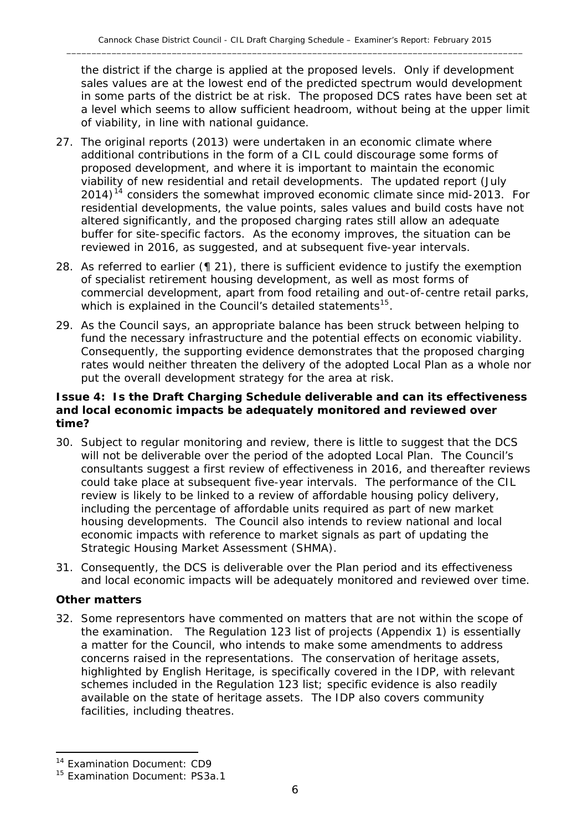the district if the charge is applied at the proposed levels. Only if development sales values are at the lowest end of the predicted spectrum would development in some parts of the district be at risk. The proposed DCS rates have been set at a level which seems to allow sufficient headroom, without being at the upper limit of viability, in line with national guidance.

- 27. The original reports (2013) were undertaken in an economic climate where additional contributions in the form of a CIL could discourage some forms of proposed development, and where it is important to maintain the economic viability of new residential and retail developments. The updated report (July 20[14](#page-6-0))<sup>14</sup> considers the somewhat improved economic climate since mid-2013. For residential developments, the value points, sales values and build costs have not altered significantly, and the proposed charging rates still allow an adequate buffer for site-specific factors. As the economy improves, the situation can be reviewed in 2016, as suggested, and at subsequent five-year intervals.
- 28. As referred to earlier (¶ 21), there is sufficient evidence to justify the exemption of specialist retirement housing development, as well as most forms of commercial development, apart from food retailing and out-of-centre retail parks, which is explained in the Council's detailed statements<sup>[15](#page-6-1)</sup>.
- 29. As the Council says, an appropriate balance has been struck between helping to fund the necessary infrastructure and the potential effects on economic viability. Consequently, the supporting evidence demonstrates that the proposed charging rates would neither threaten the delivery of the adopted Local Plan as a whole nor put the overall development strategy for the area at risk.

# **Issue 4: Is the Draft Charging Schedule deliverable and can its effectiveness and local economic impacts be adequately monitored and reviewed over time?**

- 30. Subject to regular monitoring and review, there is little to suggest that the DCS will not be deliverable over the period of the adopted Local Plan. The Council's consultants suggest a first review of effectiveness in 2016, and thereafter reviews could take place at subsequent five-year intervals. The performance of the CIL review is likely to be linked to a review of affordable housing policy delivery, including the percentage of affordable units required as part of new market housing developments. The Council also intends to review national and local economic impacts with reference to market signals as part of updating the Strategic Housing Market Assessment (SHMA).
- 31. Consequently, the DCS is deliverable over the Plan period and its effectiveness and local economic impacts will be adequately monitored and reviewed over time.

# **Other matters**

32. Some representors have commented on matters that are not within the scope of the examination. The Regulation 123 list of projects (Appendix 1) is essentially a matter for the Council, who intends to make some amendments to address concerns raised in the representations. The conservation of heritage assets, highlighted by English Heritage, is specifically covered in the IDP, with relevant schemes included in the Regulation 123 list; specific evidence is also readily available on the state of heritage assets. The IDP also covers community facilities, including theatres.

<span id="page-6-0"></span> $\overline{a}$ <sup>14</sup> Examination Document: CD9

<span id="page-6-1"></span><sup>&</sup>lt;sup>15</sup> Examination Document: PS3a.1